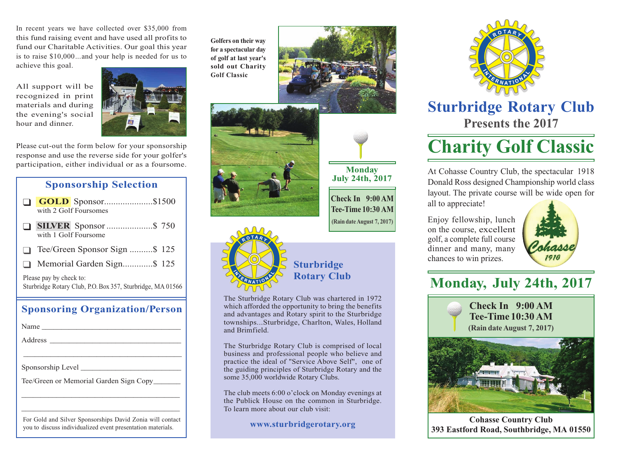In recent years we have collected over \$35,000 from this fund raising event and have used all profits to fund our Charitable Activities. Our goal this year is to raise \$10,000...and your help is needed for us to achieve this goal.

All support will be recognized in print materials and during the evening's social hour and dinner.



Please cut-out the form below for your sponsorship response and use the reverse side for your golfer's participation, either individual or as a foursome.

### **Sponsorship Selection**

- ❑ **GOLD** Sponsor.....................\$1500 with 2 Golf Foursomes
- ❑ **SILVER** Sponsor....................\$ 750 with 1 Golf Foursome
- ❑ Tee/Green Sponsor Sign ..........\$ 125
- ❑ Memorial Garden Sign.............\$ 125

Please pay by check to: Sturbridge Rotary Club, P.O.Box 357, Sturbridge, MA 01566

#### **Sponsoring Organization/Person**

| Name                                                                                                                     |
|--------------------------------------------------------------------------------------------------------------------------|
|                                                                                                                          |
|                                                                                                                          |
| Sponsorship Level                                                                                                        |
| Tee/Green or Memorial Garden Sign Copy                                                                                   |
|                                                                                                                          |
|                                                                                                                          |
| For Gold and Silver Sponsorships David Zonia will contact<br>you to discuss individualized event presentation materials. |

**Golfers on their way for a spectacular day of golf at last year's sold out Charity Golf Classic**







**Tee-Time 10:30 AM (Rain date August 7, 2017)**

## **Sturbridge Rotary Club**

The Sturbridge Rotary Club was chartered in 1972 which afforded the opportunity to bring the benefits and advantages and Rotary spirit to the Sturbridge townships...Sturbridge, Charlton, Wales, Holland and Brimfield.

The Sturbridge Rotary Club is comprised of local business and professional people who believe and practice the ideal of "Service Above Self", one of the guiding principles of Sturbridge Rotary and the some 35,000 worldwide Rotary Clubs.

The club meets 6:00 o'clock on Monday evenings at the Publick House on the common in Sturbridge. To learn more about our club visit:

**www.sturbridgerotary.org**



**Sturbridge Rotary Club Presents the 2017**

# **Charity Golf Classic**

At Cohasse Country Club, the spectacular 1918 Donald Ross designed Championship world class layout. The private course will be wide open for all to appreciate!

Enjoy fellowship, lunch on the course, excellent golf, a complete full course dinner and many, many chances to win prizes.



# **Monday, July 24th, 2017**



**Cohasse Country Club 393 Eastford Road, Southbridge, MA 01550**